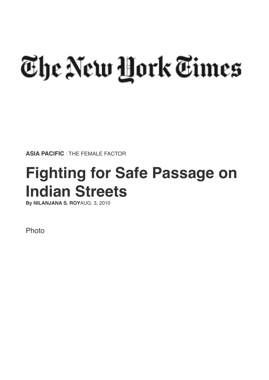## The New York Times

**[ASIA PACIFIC](https://www.nytimes.com/pages/world/asia/index.html)** | THE FEMALE FACTOR

## **Fighting for Safe Passage on Indian Streets**

**By [NILANJANA S. ROY](https://www.nytimes.com/by/nilanjana-s-roy)**AUG. 3, 2010

**Photo**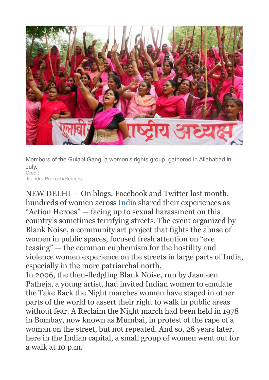

Members of the Gulabi Gang, a women's rights group, gathered in Allahabad in July. Credit Jitendra Prakash/Reuters

NEW DELHI — On blogs, Facebook and Twitter last month, hundreds of women across [India](http://topics.nytimes.com/top/news/international/countriesandterritories/india/index.html?inline=nyt-geo) shared their experiences as "Action Heroes" — facing up to sexual harassment on this country's sometimes terrifying streets. The event organized by Blank Noise, a community art project that fights the abuse of women in public spaces, focused fresh attention on "eve teasing" — the common euphemism for the hostility and violence women experience on the streets in large parts of India, especially in the more patriarchal north.

In 2006, the then-fledgling Blank Noise, run by Jasmeen Patheja, a young artist, had invited Indian women to emulate the Take Back the Night marches women have staged in other parts of the world to assert their right to walk in public areas without fear. A Reclaim the Night march had been held in 1978 in Bombay, now known as Mumbai, in protest of the rape of a woman on the street, but not repeated. And so, 28 years later, here in the Indian capital, a small group of women went out for a walk at 10 p.m.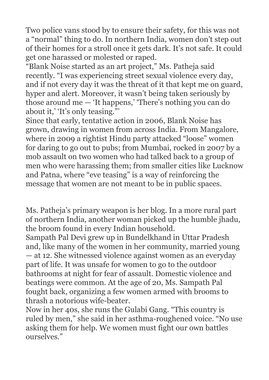Two police vans stood by to ensure their safety, for this was not a "normal" thing to do. In northern India, women don't step out of their homes for a stroll once it gets dark. It's not safe. It could get one harassed or molested or raped.

"Blank Noise started as an art project," Ms. Patheja said recently. "I was experiencing street sexual violence every day, and if not every day it was the threat of it that kept me on guard, hyper and alert. Moreover, it wasn't being taken seriously by those around me — 'It happens,' 'There's nothing you can do about it,' 'It's only teasing."'

Since that early, tentative action in 2006, Blank Noise has grown, drawing in women from across India. From Mangalore, where in 2009 a rightist Hindu party attacked "loose" women for daring to go out to pubs; from Mumbai, rocked in 2007 by a mob assault on two women who had talked back to a group of men who were harassing them; from smaller cities like Lucknow and Patna, where "eve teasing" is a way of reinforcing the message that women are not meant to be in public spaces.

Ms. Patheja's primary weapon is her blog. In a more rural part of northern India, another woman picked up the humble jhadu, the broom found in every Indian household.

Sampath Pal Devi grew up in Bundelkhand in Uttar Pradesh and, like many of the women in her community, married young — at 12. She witnessed violence against women as an everyday part of life. It was unsafe for women to go to the outdoor bathrooms at night for fear of assault. Domestic violence and beatings were common. At the age of 20, Ms. Sampath Pal fought back, organizing a few women armed with brooms to thrash a notorious wife-beater.

Now in her 40s, she runs the Gulabi Gang. "This country is ruled by men," she said in her asthma-roughened voice. "No use asking them for help. We women must fight our own battles ourselves."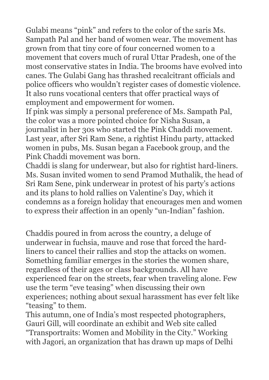Gulabi means "pink" and refers to the color of the saris Ms. Sampath Pal and her band of women wear. The movement has grown from that tiny core of four concerned women to a movement that covers much of rural Uttar Pradesh, one of the most conservative states in India. The brooms have evolved into canes. The Gulabi Gang has thrashed recalcitrant officials and police officers who wouldn't register cases of domestic violence. It also runs vocational centers that offer practical ways of employment and empowerment for women.

If pink was simply a personal preference of Ms. Sampath Pal, the color was a more pointed choice for Nisha Susan, a journalist in her 30s who started the Pink Chaddi movement. Last year, after Sri Ram Sene, a rightist Hindu party, attacked women in pubs, Ms. Susan began a Facebook group, and the Pink Chaddi movement was born.

Chaddi is slang for underwear, but also for rightist hard-liners. Ms. Susan invited women to send Pramod Muthalik, the head of Sri Ram Sene, pink underwear in protest of his party's actions and its plans to hold rallies on Valentine's Day, which it condemns as a foreign holiday that encourages men and women to express their affection in an openly "un-Indian" fashion.

Chaddis poured in from across the country, a deluge of underwear in fuchsia, mauve and rose that forced the hardliners to cancel their rallies and stop the attacks on women. Something familiar emerges in the stories the women share, regardless of their ages or class backgrounds. All have experienced fear on the streets, fear when traveling alone. Few use the term "eve teasing" when discussing their own experiences; nothing about sexual harassment has ever felt like "teasing" to them.

This autumn, one of India's most respected photographers, Gauri Gill, will coordinate an exhibit and Web site called "Transportraits: Women and Mobility in the City." Working with Jagori, an organization that has drawn up maps of Delhi